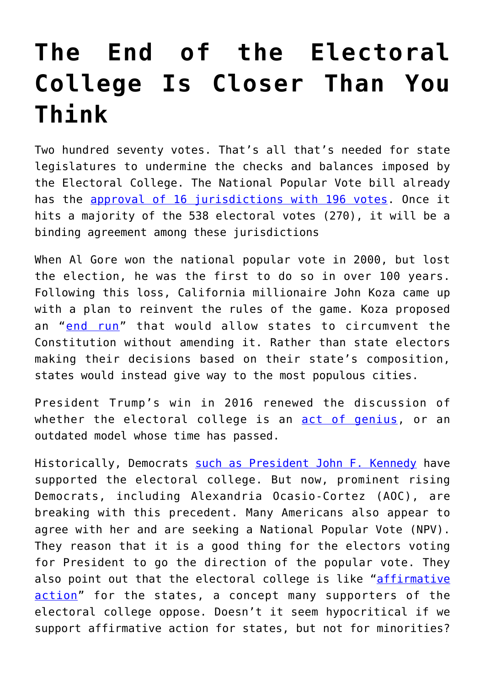## **[The End of the Electoral](https://intellectualtakeout.org/2019/11/the-end-of-the-electoral-college-is-closer-than-you-think/) [College Is Closer Than You](https://intellectualtakeout.org/2019/11/the-end-of-the-electoral-college-is-closer-than-you-think/) [Think](https://intellectualtakeout.org/2019/11/the-end-of-the-electoral-college-is-closer-than-you-think/)**

Two hundred seventy votes. That's all that's needed for state legislatures to undermine the checks and balances imposed by the Electoral College. The National Popular Vote bill already has the [approval of 16 jurisdictions with 196 votes](https://www.nationalpopularvote.com/state-status). Once it hits a majority of the 538 electoral votes (270), it will be a binding agreement among these jurisdictions

When Al Gore won the national popular vote in 2000, but lost the election, he was the first to do so in over 100 years. Following this loss, California millionaire John Koza came up with a plan to reinvent the rules of the game. Koza proposed an "[end run](https://www.nytimes.com/2006/09/22/us/politics/22electoral.html)" that would allow states to circumvent the Constitution without amending it. Rather than state electors making their decisions based on their state's composition, states would instead give way to the most populous cities.

President Trump's win in 2016 renewed the discussion of whether the electoral college is an [act of genius,](https://www.intellectualtakeout.org/blog/electoral-college-genius) or an outdated model whose time has passed.

Historically, Democrats [such as President John F. Kennedy](https://www.saveourstates.com/blog/aoc-gets-it-wrong-on-the-electoral-college) have supported the electoral college. But now, prominent rising Democrats, including Alexandria Ocasio-Cortez (AOC), are breaking with this precedent. Many Americans also appear to agree with her and are seeking a National Popular Vote (NPV). They reason that it is a good thing for the electors voting for President to go the direction of the popular vote. They also point out that the electoral college is like "[affirmative](https://www.intellectualtakeout.org/article/no-electoral-college-not-affirmative-action-rural-voters) [action"](https://www.intellectualtakeout.org/article/no-electoral-college-not-affirmative-action-rural-voters) for the states, a concept many supporters of the electoral college oppose. Doesn't it seem hypocritical if we support affirmative action for states, but not for minorities?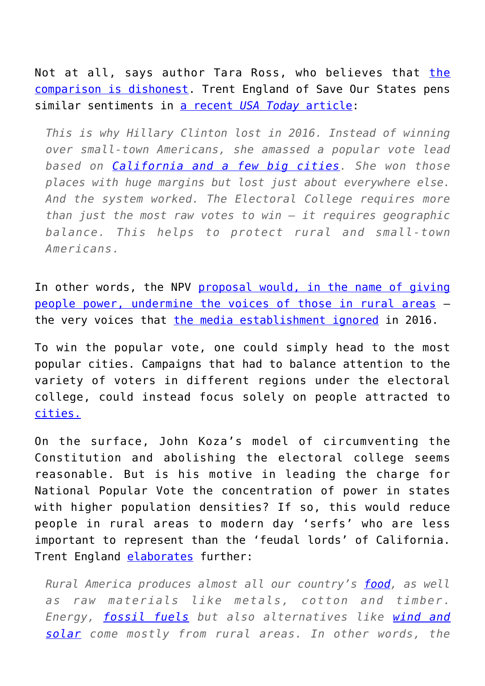Not at all, says author Tara Ross, who believes that [the](https://www.intellectualtakeout.org/article/no-electoral-college-not-affirmative-action-rural-voters) [comparison is dishonest.](https://www.intellectualtakeout.org/article/no-electoral-college-not-affirmative-action-rural-voters) Trent England of Save Our States pens similar sentiments in [a recent](https://www.usatoday.com/story/opinion/2019/05/23/killing-electoral-college-means-rural-americans-would-be-serfs-column/3770424002/) *[USA Today](https://www.usatoday.com/story/opinion/2019/05/23/killing-electoral-college-means-rural-americans-would-be-serfs-column/3770424002/)* [article:](https://www.usatoday.com/story/opinion/2019/05/23/killing-electoral-college-means-rural-americans-would-be-serfs-column/3770424002/)

*This is why Hillary Clinton lost in 2016. Instead of winning over small-town Americans, she amassed a popular vote lead based on [California and a few big cities](https://www.270towin.com/live-2016-presidential-election-results/state-by-state/). She won those places with huge margins but lost just about everywhere else. And the system worked. The Electoral College requires more than just the most raw votes to win — it requires geographic balance. This helps to protect rural and small-town Americans.*

In other words, the NPV [proposal would, in the name of giving](https://www.youtube.com/watch?v=LXnjGD7j2B0&vl=en) [people power, undermine the voices of those in rural areas](https://www.youtube.com/watch?v=LXnjGD7j2B0&vl=en) – the very voices that [the media establishment ignored](https://www.npr.org/2016/11/14/501737150/rural-voters-played-a-big-part-in-helping-trump-defeat-clinton) in 2016.

To win the popular vote, one could simply head to the most popular cities. Campaigns that had to balance attention to the variety of voters in different regions under the electoral college, could instead focus solely on people attracted to [cities.](https://projects.fivethirtyeight.com/republicans-democrats-cities/)

On the surface, John Koza's model of circumventing the Constitution and abolishing the electoral college seems reasonable. But is his motive in leading the charge for National Popular Vote the concentration of power in states with higher population densities? If so, this would reduce people in rural areas to modern day 'serfs' who are less important to represent than the 'feudal lords' of California. Trent England [elaborates](https://www.usatoday.com/story/opinion/2019/05/23/killing-electoral-college-means-rural-americans-would-be-serfs-column/3770424002/) further:

*Rural America produces almost all our country's [food](https://www.vox.com/a/explain-food-america), as well as raw materials like metals, cotton and timber. Energy, [fossil fuels](https://www.usda.gov/oce/energy/files/Energy_White_Paper_July_2017-7-27-2017_UPDATED.pdf) but also alternatives like [wind and](https://www.realclearenergy.org/articles/2019/01/21/how_rural_states_are_leading_the_clean_energy_revolution.html) [solar](https://www.realclearenergy.org/articles/2019/01/21/how_rural_states_are_leading_the_clean_energy_revolution.html) come mostly from rural areas. In other words, the*